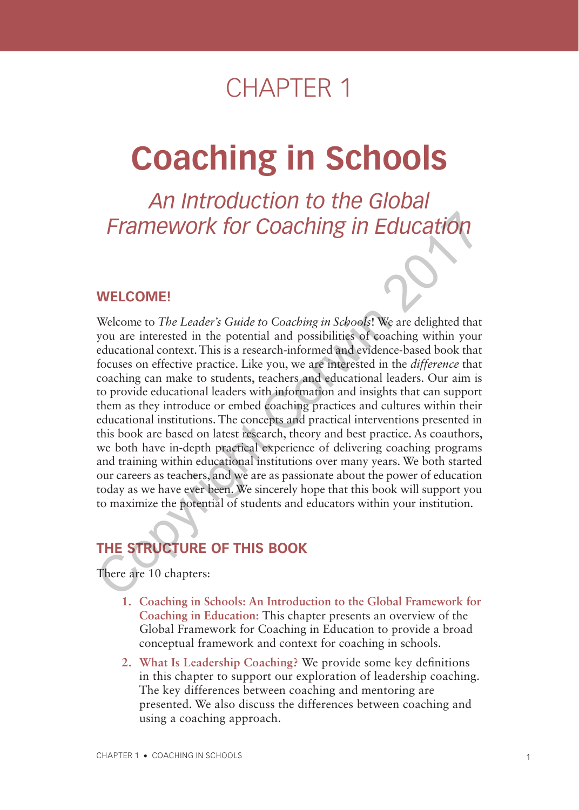# CHAPTER 1

# **Coaching in Schools**

*An Introduction to the Global Framework for Coaching in Education*

#### **WELCOME!**

Welcome to *The Leader's Guide to Coaching in Schools*! We are delighted that you are interested in the potential and possibilities of coaching within your educational context. This is a research-informed and evidence-based book that focuses on effective practice. Like you, we are interested in the *difference* that coaching can make to students, teachers and educational leaders. Our aim is to provide educational leaders with information and insights that can support them as they introduce or embed coaching practices and cultures within their educational institutions. The concepts and practical interventions presented in this book are based on latest research, theory and best practice. As coauthors, we both have in-depth practical experience of delivering coaching programs and training within educational institutions over many years. We both started our careers as teachers, and we are as passionate about the power of education today as we have ever been. We sincerely hope that this book will support you to maximize the potential of students and educators within your institution. **Framework for Coaching in Education**<br>
WELCOME!<br>
Welcome to *The Leader's Guide to Coaching in Schools!* We are delighted that<br>
you are interested in the potential and possiblities of coaching within you<br>
ducational contex

# **THE STRUCTURE OF THIS BOOK**

There are 10 chapters:

- **1. Coaching in Schools: An Introduction to the Global Framework for Coaching in Education:** This chapter presents an overview of the Global Framework for Coaching in Education to provide a broad conceptual framework and context for coaching in schools.
- **2. What Is Leadership Coaching?** We provide some key definitions in this chapter to support our exploration of leadership coaching. The key differences between coaching and mentoring are presented. We also discuss the differences between coaching and using a coaching approach.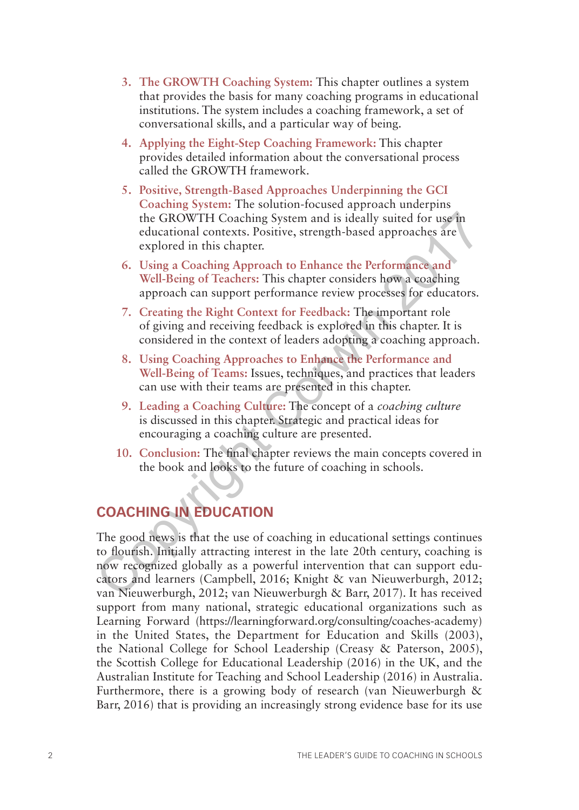- **3. The GROWTH Coaching System:** This chapter outlines a system that provides the basis for many coaching programs in educational institutions. The system includes a coaching framework, a set of conversational skills, and a particular way of being.
- **4. Applying the Eight-Step Coaching Framework:** This chapter provides detailed information about the conversational process called the GROWTH framework.
- **5. Positive, Strength-Based Approaches Underpinning the GCI Coaching System:** The solution-focused approach underpins the GROWTH Coaching System and is ideally suited for use in educational contexts. Positive, strength-based approaches are explored in this chapter.
- **6. Using a Coaching Approach to Enhance the Performance and Well-Being of Teachers:** This chapter considers how a coaching approach can support performance review processes for educators.
- **7. Creating the Right Context for Feedback:** The important role of giving and receiving feedback is explored in this chapter. It is considered in the context of leaders adopting a coaching approach.
- **8. Using Coaching Approaches to Enhance the Performance and Well-Being of Teams:** Issues, techniques, and practices that leaders can use with their teams are presented in this chapter.
- **9. Leading a Coaching Culture:** The concept of a *coaching culture* is discussed in this chapter. Strategic and practical ideas for encouraging a coaching culture are presented.
- **10. Conclusion:** The final chapter reviews the main concepts covered in the book and looks to the future of coaching in schools.

### **COACHING IN EDUCATION**

The good news is that the use of coaching in educational settings continues to flourish. Initially attracting interest in the late 20th century, coaching is now recognized globally as a powerful intervention that can support educators and learners (Campbell, 2016; Knight & van Nieuwerburgh, 2012; van Nieuwerburgh, 2012; van Nieuwerburgh & Barr, 2017). It has received support from many national, strategic educational organizations such as Learning Forward (https://learningforward.org/consulting/coaches-academy) in the United States, the Department for Education and Skills (2003), the National College for School Leadership (Creasy & Paterson, 2005), the Scottish College for Educational Leadership (2016) in the UK, and the Australian Institute for Teaching and School Leadership (2016) in Australia. Furthermore, there is a growing body of research (van Nieuwerburgh & Barr, 2016) that is providing an increasingly strong evidence base for its use the GROWTH Coaching System and is ideally suited for use in educational contexts. Positive, strength-based approaches are explored in this chapter.<br>
6. Using a Coaching Approach to Enhance the Performance and Well-Being of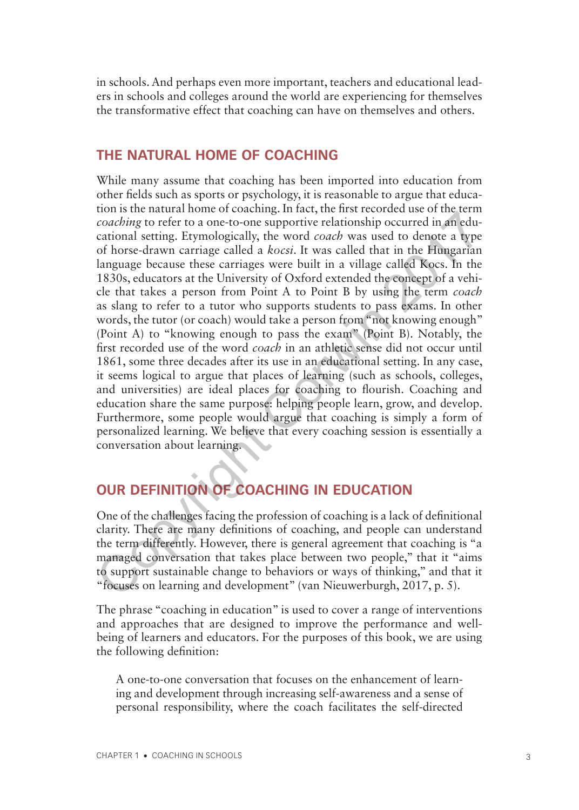in schools. And perhaps even more important, teachers and educational leaders in schools and colleges around the world are experiencing for themselves the transformative effect that coaching can have on themselves and others.

#### **THE NATURAL HOME OF COACHING**

While many assume that coaching has been imported into education from other fields such as sports or psychology, it is reasonable to argue that education is the natural home of coaching. In fact, the first recorded use of the term *coaching* to refer to a one-to-one supportive relationship occurred in an educational setting. Etymologically, the word *coach* was used to denote a type of horse-drawn carriage called a *kocsi*. It was called that in the Hungarian language because these carriages were built in a village called Kocs. In the 1830s, educators at the University of Oxford extended the concept of a vehicle that takes a person from Point A to Point B by using the term *coach* as slang to refer to a tutor who supports students to pass exams. In other words, the tutor (or coach) would take a person from "not knowing enough" (Point A) to "knowing enough to pass the exam" (Point B). Notably, the first recorded use of the word *coach* in an athletic sense did not occur until 1861, some three decades after its use in an educational setting. In any case, it seems logical to argue that places of learning (such as schools, colleges, and universities) are ideal places for coaching to flourish. Coaching and education share the same purpose: helping people learn, grow, and develop. Furthermore, some people would argue that coaching is simply a form of personalized learning. We believe that every coaching session is essentially a conversation about learning. conding to relationship occurred in an educational setting. Fyrmologically, the word *coach* was used to denote a type carried in an educational setting. Etymologically, the word *coach* was used to denote a type of horse

# **OUR DEFINITION OF COACHING IN EDUCATION**

One of the challenges facing the profession of coaching is a lack of definitional clarity. There are many definitions of coaching, and people can understand the term differently. However, there is general agreement that coaching is "a managed conversation that takes place between two people," that it "aims to support sustainable change to behaviors or ways of thinking," and that it "focuses on learning and development" (van Nieuwerburgh, 2017, p. 5).

The phrase "coaching in education" is used to cover a range of interventions and approaches that are designed to improve the performance and wellbeing of learners and educators. For the purposes of this book, we are using the following definition:

A one-to-one conversation that focuses on the enhancement of learning and development through increasing self-awareness and a sense of personal responsibility, where the coach facilitates the self-directed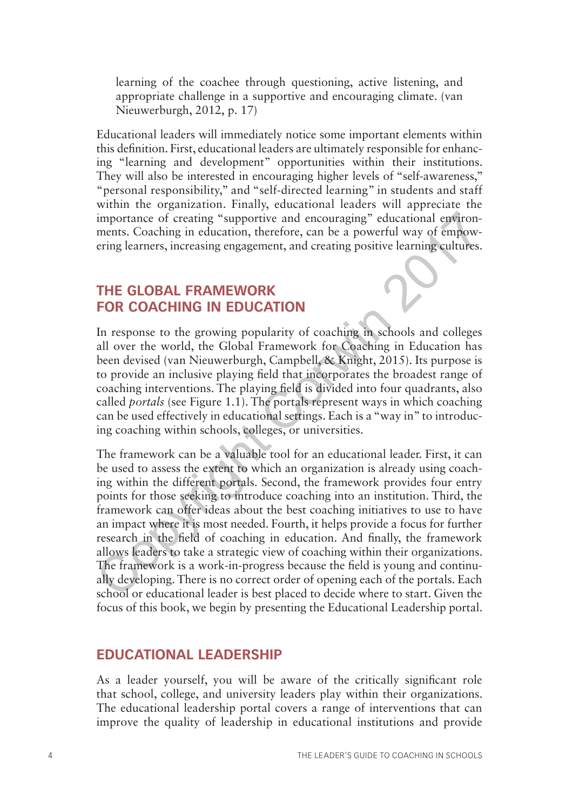learning of the coachee through questioning, active listening, and appropriate challenge in a supportive and encouraging climate. (van Nieuwerburgh, 2012, p. 17)

Educational leaders will immediately notice some important elements within this definition. First, educational leaders are ultimately responsible for enhancing "learning and development" opportunities within their institutions. They will also be interested in encouraging higher levels of "self-awareness," "personal responsibility," and "self-directed learning" in students and staff within the organization. Finally, educational leaders will appreciate the importance of creating "supportive and encouraging" educational environments. Coaching in education, therefore, can be a powerful way of empowering learners, increasing engagement, and creating positive learning cultures.

#### **THE GLOBAL FRAMEWORK FOR COACHING IN EDUCATION**

In response to the growing popularity of coaching in schools and colleges all over the world, the Global Framework for Coaching in Education has been devised (van Nieuwerburgh, Campbell, & Knight, 2015). Its purpose is to provide an inclusive playing field that incorporates the broadest range of coaching interventions. The playing field is divided into four quadrants, also called *portals* (see Figure 1.1). The portals represent ways in which coaching can be used effectively in educational settings. Each is a "way in" to introducing coaching within schools, colleges, or universities.

The framework can be a valuable tool for an educational leader. First, it can be used to assess the extent to which an organization is already using coaching within the different portals. Second, the framework provides four entry points for those seeking to introduce coaching into an institution. Third, the framework can offer ideas about the best coaching initiatives to use to have an impact where it is most needed. Fourth, it helps provide a focus for further research in the field of coaching in education. And finally, the framework allows leaders to take a strategic view of coaching within their organizations. The framework is a work-in-progress because the field is young and continually developing. There is no correct order of opening each of the portals. Each school or educational leader is best placed to decide where to start. Given the focus of this book, we begin by presenting the Educational Leadership portal. importance of creating "supportive and encouraging" educational environments. Coaching in education, therefore, can be a powerful wary of empowering learners, increasing engagement, and creating positive learning cultures.

#### **EDUCATIONAL LEADERSHIP**

As a leader yourself, you will be aware of the critically significant role that school, college, and university leaders play within their organizations. The educational leadership portal covers a range of interventions that can improve the quality of leadership in educational institutions and provide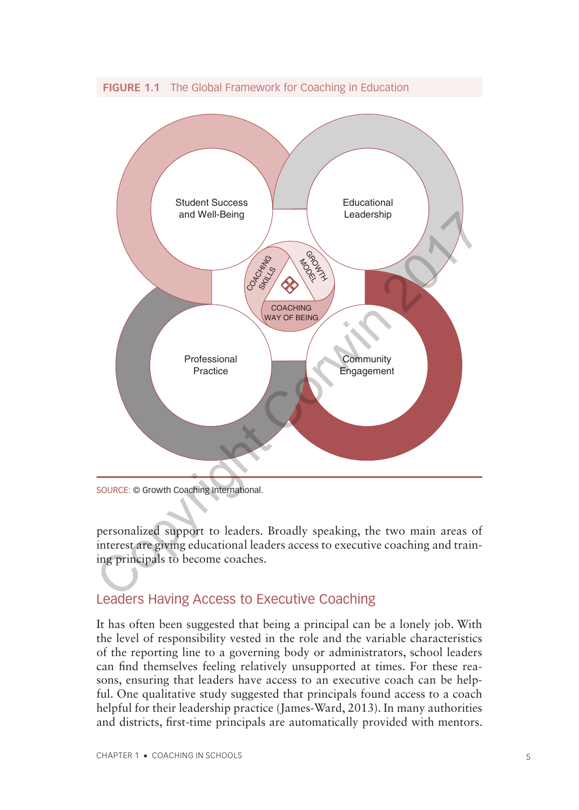

**FIGURE 1.1** The Global Framework for Coaching in Education

personalized support to leaders. Broadly speaking, the two main areas of interest are giving educational leaders access to executive coaching and training principals to become coaches.

#### Leaders Having Access to Executive Coaching

It has often been suggested that being a principal can be a lonely job. With the level of responsibility vested in the role and the variable characteristics of the reporting line to a governing body or administrators, school leaders can find themselves feeling relatively unsupported at times. For these reasons, ensuring that leaders have access to an executive coach can be helpful. One qualitative study suggested that principals found access to a coach helpful for their leadership practice (James-Ward, 2013). In many authorities and districts, first-time principals are automatically provided with mentors.

SOURCE: © Growth Coaching International.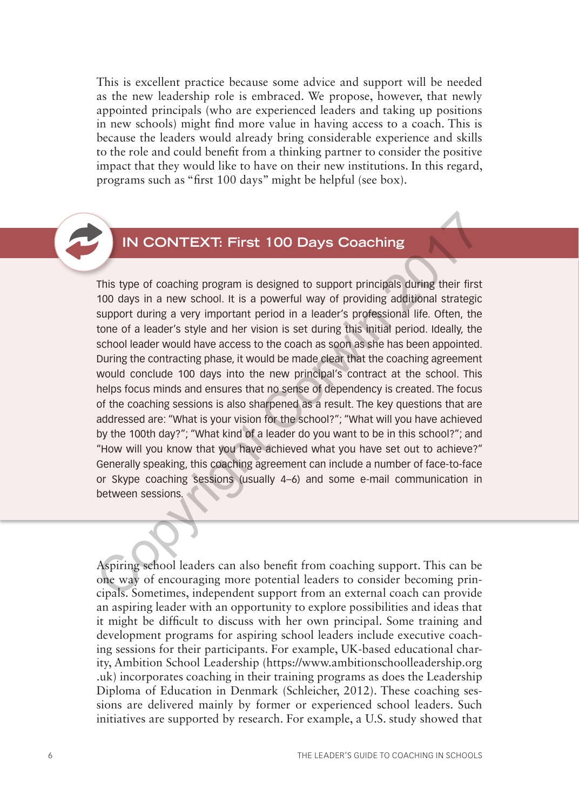This is excellent practice because some advice and support will be needed as the new leadership role is embraced. We propose, however, that newly appointed principals (who are experienced leaders and taking up positions in new schools) might find more value in having access to a coach. This is because the leaders would already bring considerable experience and skills to the role and could benefit from a thinking partner to consider the positive impact that they would like to have on their new institutions. In this regard, programs such as "first 100 days" might be helpful (see box).

# **IN CONTEXT: First 100 Days Coaching**

This type of coaching program is designed to support principals during their first 100 days in a new school. It is a powerful way of providing additional strategic support during a very important period in a leader's professional life. Often, the tone of a leader's style and her vision is set during this initial period. Ideally, the school leader would have access to the coach as soon as she has been appointed. During the contracting phase, it would be made clear that the coaching agreement would conclude 100 days into the new principal's contract at the school. This helps focus minds and ensures that no sense of dependency is created. The focus of the coaching sessions is also sharpened as a result. The key questions that are addressed are: "What is your vision for the school?"; "What will you have achieved by the 100th day?"; "What kind of a leader do you want to be in this school?"; and "How will you know that you have achieved what you have set out to achieve?" Generally speaking, this coaching agreement can include a number of face-to-face or Skype coaching sessions (usually 4–6) and some e-mail communication in between sessions. IN CONTEXT: First 100 Days Coaching<br>This type of coaching program is designed to support principals during their first<br>100 days in a new school. It is a powerful way of providing additional strategic<br>support during a very

Aspiring school leaders can also benefit from coaching support. This can be one way of encouraging more potential leaders to consider becoming principals. Sometimes, independent support from an external coach can provide an aspiring leader with an opportunity to explore possibilities and ideas that it might be difficult to discuss with her own principal. Some training and development programs for aspiring school leaders include executive coaching sessions for their participants. For example, UK-based educational charity, Ambition School Leadership (https://www.ambitionschoolleadership.org .uk) incorporates coaching in their training programs as does the Leadership Diploma of Education in Denmark (Schleicher, 2012). These coaching sessions are delivered mainly by former or experienced school leaders. Such initiatives are supported by research. For example, a U.S. study showed that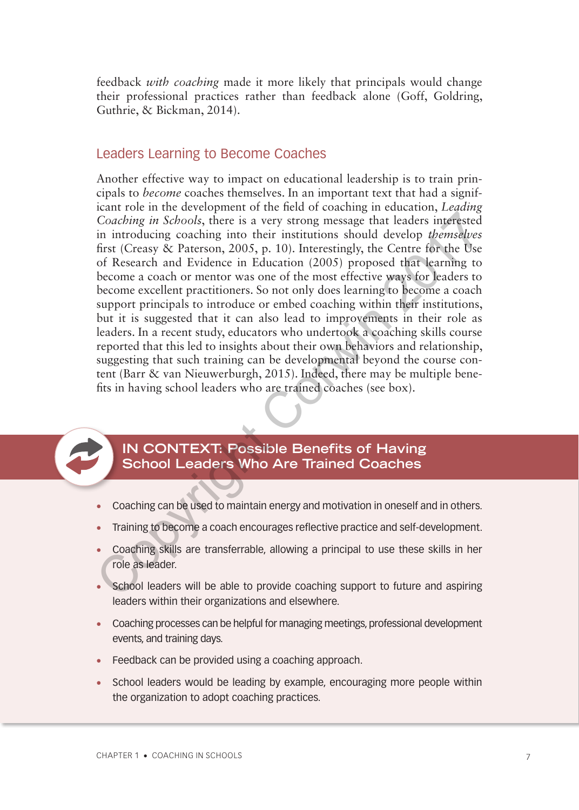feedback *with coaching* made it more likely that principals would change their professional practices rather than feedback alone (Goff, Goldring, Guthrie, & Bickman, 2014).

#### Leaders Learning to Become Coaches

Another effective way to impact on educational leadership is to train principals to *become* coaches themselves. In an important text that had a significant role in the development of the field of coaching in education, *Leading Coaching in Schools*, there is a very strong message that leaders interested in introducing coaching into their institutions should develop *themselves*  first (Creasy & Paterson, 2005, p. 10). Interestingly, the Centre for the Use of Research and Evidence in Education (2005) proposed that learning to become a coach or mentor was one of the most effective ways for leaders to become excellent practitioners. So not only does learning to become a coach support principals to introduce or embed coaching within their institutions, but it is suggested that it can also lead to improvements in their role as leaders. In a recent study, educators who undertook a coaching skills course reported that this led to insights about their own behaviors and relationship, suggesting that such training can be developmental beyond the course content (Barr & van Nieuwerburgh, 2015). Indeed, there may be multiple benefits in having school leaders who are trained coaches (see box). Coaching in Schools, there is a very strong message that leaders interested<br>in introducing coaching into their institutions should develop themselves<br>first (Creasy & Paterson, 2005, p. 10). Interestingly, the Centre for th



#### **IN CONTEXT: Possible Benefits of Having School Leaders Who Are Trained Coaches**

- Coaching can be used to maintain energy and motivation in oneself and in others.
- Training to become a coach encourages reflective practice and self-development.
- Coaching skills are transferrable, allowing a principal to use these skills in her role as leader.
- School leaders will be able to provide coaching support to future and aspiring leaders within their organizations and elsewhere.
- Coaching processes can be helpful for managing meetings, professional development events, and training days.
- Feedback can be provided using a coaching approach.
- School leaders would be leading by example, encouraging more people within the organization to adopt coaching practices.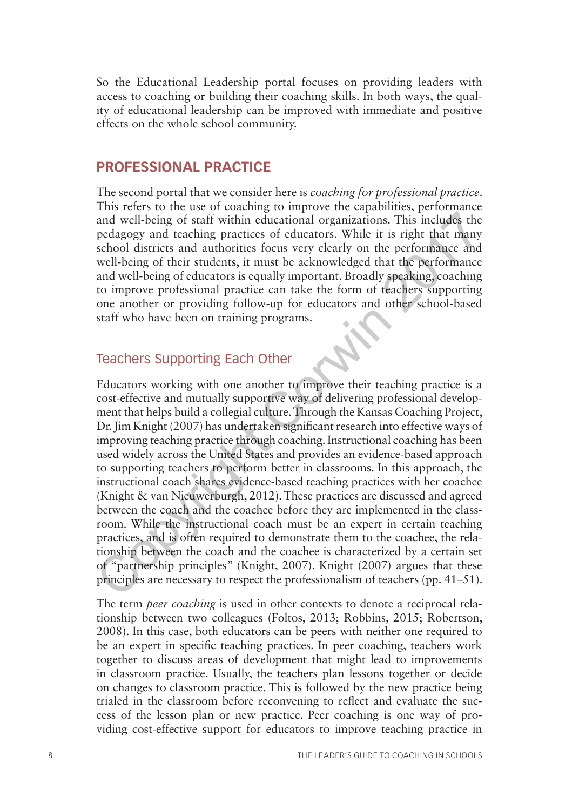So the Educational Leadership portal focuses on providing leaders with access to coaching or building their coaching skills. In both ways, the quality of educational leadership can be improved with immediate and positive effects on the whole school community.

#### **PROFESSIONAL PRACTICE**

The second portal that we consider here is *coaching for professional practice*. This refers to the use of coaching to improve the capabilities, performance and well-being of staff within educational organizations. This includes the pedagogy and teaching practices of educators. While it is right that many school districts and authorities focus very clearly on the performance and well-being of their students, it must be acknowledged that the performance and well-being of educators is equally important. Broadly speaking, coaching to improve professional practice can take the form of teachers supporting one another or providing follow-up for educators and other school-based staff who have been on training programs.

# Teachers Supporting Each Other

Educators working with one another to improve their teaching practice is a cost-effective and mutually supportive way of delivering professional development that helps build a collegial culture. Through the Kansas Coaching Project, Dr. Jim Knight (2007) has undertaken significant research into effective ways of improving teaching practice through coaching. Instructional coaching has been used widely across the United States and provides an evidence-based approach to supporting teachers to perform better in classrooms. In this approach, the instructional coach shares evidence-based teaching practices with her coachee (Knight & van Nieuwerburgh, 2012). These practices are discussed and agreed between the coach and the coachee before they are implemented in the classroom. While the instructional coach must be an expert in certain teaching practices, and is often required to demonstrate them to the coachee, the relationship between the coach and the coachee is characterized by a certain set of "partnership principles" (Knight, 2007). Knight (2007) argues that these principles are necessary to respect the professionalism of teachers (pp. 41–51). and well-being of staff within educational organizations. This includes the pedagogy and teaching practices of educators. While it is right that many well-being of their students, it must be acknowledged that the performa

The term *peer coaching* is used in other contexts to denote a reciprocal relationship between two colleagues (Foltos, 2013; Robbins, 2015; Robertson, 2008). In this case, both educators can be peers with neither one required to be an expert in specific teaching practices. In peer coaching, teachers work together to discuss areas of development that might lead to improvements in classroom practice. Usually, the teachers plan lessons together or decide on changes to classroom practice. This is followed by the new practice being trialed in the classroom before reconvening to reflect and evaluate the success of the lesson plan or new practice. Peer coaching is one way of providing cost-effective support for educators to improve teaching practice in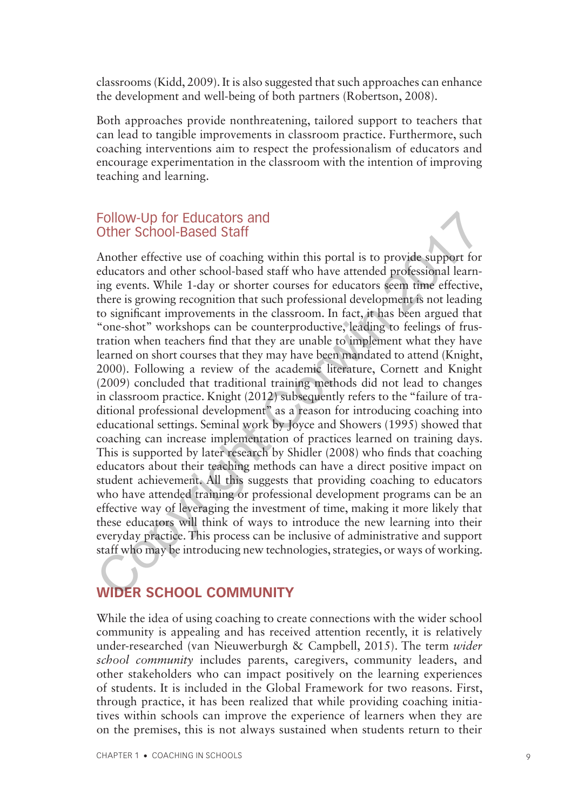classrooms (Kidd, 2009). It is also suggested that such approaches can enhance the development and well-being of both partners (Robertson, 2008).

Both approaches provide nonthreatening, tailored support to teachers that can lead to tangible improvements in classroom practice. Furthermore, such coaching interventions aim to respect the professionalism of educators and encourage experimentation in the classroom with the intention of improving teaching and learning.

#### Follow-Up for Educators and Other School-Based Staff

Another effective use of coaching within this portal is to provide support for educators and other school-based staff who have attended professional learning events. While 1-day or shorter courses for educators seem time effective, there is growing recognition that such professional development is not leading to significant improvements in the classroom. In fact, it has been argued that "one-shot" workshops can be counterproductive, leading to feelings of frustration when teachers find that they are unable to implement what they have learned on short courses that they may have been mandated to attend (Knight, 2000). Following a review of the academic literature, Cornett and Knight (2009) concluded that traditional training methods did not lead to changes in classroom practice. Knight (2012) subsequently refers to the "failure of traditional professional development" as a reason for introducing coaching into educational settings. Seminal work by Joyce and Showers (1995) showed that coaching can increase implementation of practices learned on training days. This is supported by later research by Shidler (2008) who finds that coaching educators about their teaching methods can have a direct positive impact on student achievement. All this suggests that providing coaching to educators who have attended training or professional development programs can be an effective way of leveraging the investment of time, making it more likely that these educators will think of ways to introduce the new learning into their everyday practice. This process can be inclusive of administrative and support staff who may be introducing new technologies, strategies, or ways of working. Follow-Up for Educators and<br>
Other School-Based Staff<br>
Another effective use of coaching within this portal is to provide support for<br>
Another effective use of coaching within this portal is to provide support for<br>
educato

#### **WIDER SCHOOL COMMUNITY**

While the idea of using coaching to create connections with the wider school community is appealing and has received attention recently, it is relatively under-researched (van Nieuwerburgh & Campbell, 2015). The term *wider school community* includes parents, caregivers, community leaders, and other stakeholders who can impact positively on the learning experiences of students. It is included in the Global Framework for two reasons. First, through practice, it has been realized that while providing coaching initiatives within schools can improve the experience of learners when they are on the premises, this is not always sustained when students return to their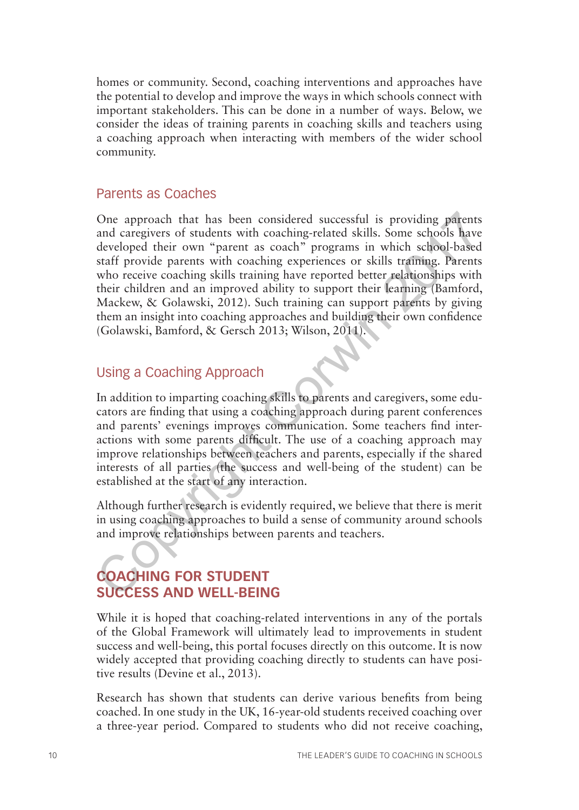homes or community. Second, coaching interventions and approaches have the potential to develop and improve the ways in which schools connect with important stakeholders. This can be done in a number of ways. Below, we consider the ideas of training parents in coaching skills and teachers using a coaching approach when interacting with members of the wider school community.

#### Parents as Coaches

One approach that has been considered successful is providing parents and caregivers of students with coaching-related skills. Some schools have developed their own "parent as coach" programs in which school-based staff provide parents with coaching experiences or skills training. Parents who receive coaching skills training have reported better relationships with their children and an improved ability to support their learning (Bamford, Mackew, & Golawski, 2012). Such training can support parents by giving them an insight into coaching approaches and building their own confidence (Golawski, Bamford, & Gersch 2013; Wilson, 2011). One approach that has been considered successful is providing parents<br>and caregivers of students with coaching-related skills. Some schools have<br>developed their own "parent as coach" programs in which school-based<br>staff pr

#### Using a Coaching Approach

In addition to imparting coaching skills to parents and caregivers, some educators are finding that using a coaching approach during parent conferences and parents' evenings improves communication. Some teachers find interactions with some parents difficult. The use of a coaching approach may improve relationships between teachers and parents, especially if the shared interests of all parties (the success and well-being of the student) can be established at the start of any interaction.

Although further research is evidently required, we believe that there is merit in using coaching approaches to build a sense of community around schools and improve relationships between parents and teachers.

# **COACHING FOR STUDENT SUCCESS AND WELL-BEING**

While it is hoped that coaching-related interventions in any of the portals of the Global Framework will ultimately lead to improvements in student success and well-being, this portal focuses directly on this outcome. It is now widely accepted that providing coaching directly to students can have positive results (Devine et al., 2013).

Research has shown that students can derive various benefits from being coached. In one study in the UK, 16-year-old students received coaching over a three-year period. Compared to students who did not receive coaching,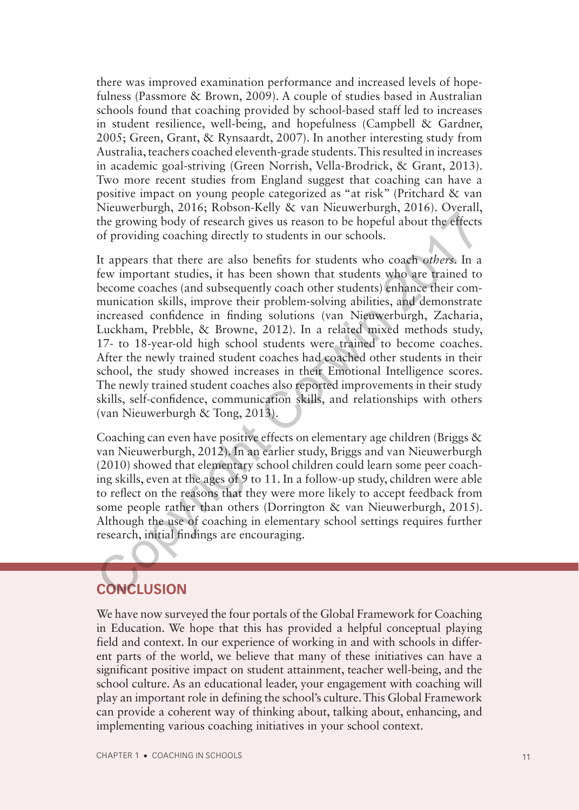there was improved examination performance and increased levels of hopefulness (Passmore & Brown, 2009). A couple of studies based in Australian schools found that coaching provided by school-based staff led to increases in student resilience, well-being, and hopefulness (Campbell & Gardner, 2005; Green, Grant, & Rynsaardt, 2007). In another interesting study from Australia, teachers coached eleventh-grade students. This resulted in increases in academic goal-striving (Green Norrish, Vella-Brodrick, & Grant, 2013). Two more recent studies from England suggest that coaching can have a positive impact on young people categorized as "at risk" (Pritchard & van Nieuwerburgh, 2016; Robson-Kelly & van Nieuwerburgh, 2016). Overall, the growing body of research gives us reason to be hopeful about the effects of providing coaching directly to students in our schools.

It appears that there are also benefits for students who coach *others*. In a few important studies, it has been shown that students who are trained to become coaches (and subsequently coach other students) enhance their communication skills, improve their problem-solving abilities, and demonstrate increased confidence in finding solutions (van Nieuwerburgh, Zacharia, Luckham, Prebble, & Browne, 2012). In a related mixed methods study, 17- to 18-year-old high school students were trained to become coaches. After the newly trained student coaches had coached other students in their school, the study showed increases in their Emotional Intelligence scores. The newly trained student coaches also reported improvements in their study skills, self-confidence, communication skills, and relationships with others (van Nieuwerburgh & Tong, 2013). the growing body of research gives us reason to be hopeful about the effects of providing coaching directly to students in our schools. It appears that there are also benefits for students who coach others. In a few import

Coaching can even have positive effects on elementary age children (Briggs & van Nieuwerburgh, 2012). In an earlier study, Briggs and van Nieuwerburgh (2010) showed that elementary school children could learn some peer coaching skills, even at the ages of 9 to 11. In a follow-up study, children were able to reflect on the reasons that they were more likely to accept feedback from some people rather than others (Dorrington & van Nieuwerburgh, 2015). Although the use of coaching in elementary school settings requires further research, initial findings are encouraging.

# **CONCLUSION**

We have now surveyed the four portals of the Global Framework for Coaching in Education. We hope that this has provided a helpful conceptual playing field and context. In our experience of working in and with schools in different parts of the world, we believe that many of these initiatives can have a significant positive impact on student attainment, teacher well-being, and the school culture. As an educational leader, your engagement with coaching will play an important role in defining the school's culture. This Global Framework can provide a coherent way of thinking about, talking about, enhancing, and implementing various coaching initiatives in your school context.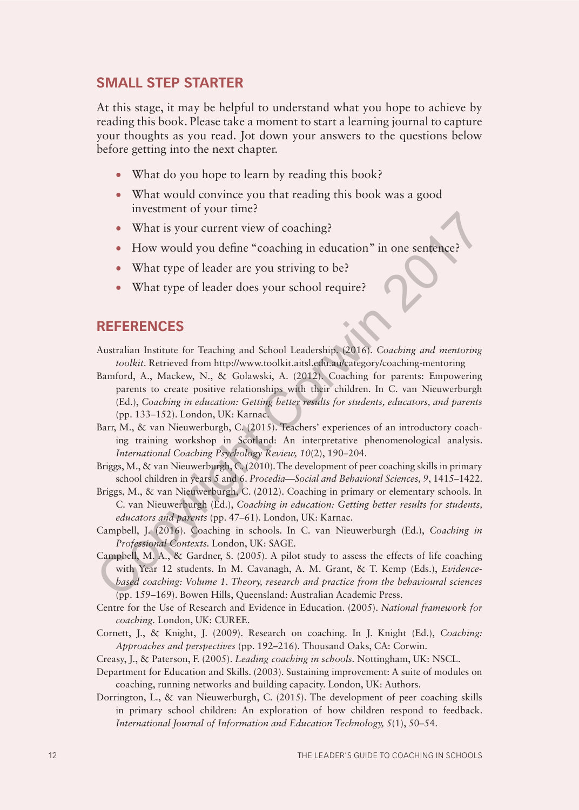#### **SMALL STEP STARTER**

At this stage, it may be helpful to understand what you hope to achieve by reading this book. Please take a moment to start a learning journal to capture your thoughts as you read. Jot down your answers to the questions below before getting into the next chapter.

- What do you hope to learn by reading this book?
- What would convince you that reading this book was a good investment of your time?
- What is your current view of coaching?
- How would you define "coaching in education" in one sentence?
- What type of leader are you striving to be?
- What type of leader does your school require?

#### **REFERENCES**

- Australian Institute for Teaching and School Leadership. (2016). *Coaching and mentoring toolkit*. Retrieved from http://www.toolkit.aitsl.edu.au/category/coaching-mentoring
- Bamford, A., Mackew, N., & Golawski, A. (2012). Coaching for parents: Empowering parents to create positive relationships with their children. In C. van Nieuwerburgh (Ed.), *Coaching in education: Getting better results for students, educators, and parents* (pp. 133–152). London, UK: Karnac. **Example 11 and 121 and 121 and 121 and 121 and 121 and 121 and 121 and 121 and 131 and 131 and 131 and 131 and 131 and 131 and 131 and 131 and 131 and 131 and 131 and 131 and 131 and 131 and 131 and 131 and 131 and 131 a**
- Barr, M., & van Nieuwerburgh, C. (2015). Teachers' experiences of an introductory coaching training workshop in Scotland: An interpretative phenomenological analysis. *International Coaching Psychology Review, 10*(2), 190–204.
- Briggs, M., & van Nieuwerburgh, C. (2010). The development of peer coaching skills in primary school children in years 5 and 6. *Procedia—Social and Behavioral Sciences, 9*, 1415–1422.
- Briggs, M., & van Nieuwerburgh, C. (2012). Coaching in primary or elementary schools. In C. van Nieuwerburgh (Ed.), *Coaching in education: Getting better results for students, educators and parents* (pp. 47–61)*.* London, UK: Karnac.
- Campbell, J. (2016). Coaching in schools. In C. van Nieuwerburgh (Ed.), *Coaching in Professional Contexts.* London, UK: SAGE.
- Campbell, M. A., & Gardner, S. (2005). A pilot study to assess the effects of life coaching with Year 12 students. In M. Cavanagh, A. M. Grant, & T. Kemp (Eds.), *Evidencebased coaching: Volume 1. Theory, research and practice from the behavioural sciences*  (pp. 159–169). Bowen Hills, Queensland: Australian Academic Press.
- Centre for the Use of Research and Evidence in Education. (2005). *National framework for coaching.* London, UK: CUREE.
- Cornett, J., & Knight, J. (2009). Research on coaching. In J. Knight (Ed.), *Coaching: Approaches and perspectives* (pp. 192–216). Thousand Oaks, CA: Corwin.
- Creasy, J., & Paterson, F. (2005). *Leading coaching in schools.* Nottingham, UK: NSCL.
- Department for Education and Skills. (2003). Sustaining improvement: A suite of modules on coaching, running networks and building capacity. London, UK: Authors.
- Dorrington, L., & van Nieuwerburgh, C. (2015). The development of peer coaching skills in primary school children: An exploration of how children respond to feedback. *International Journal of Information and Education Technology, 5*(1), 50–54.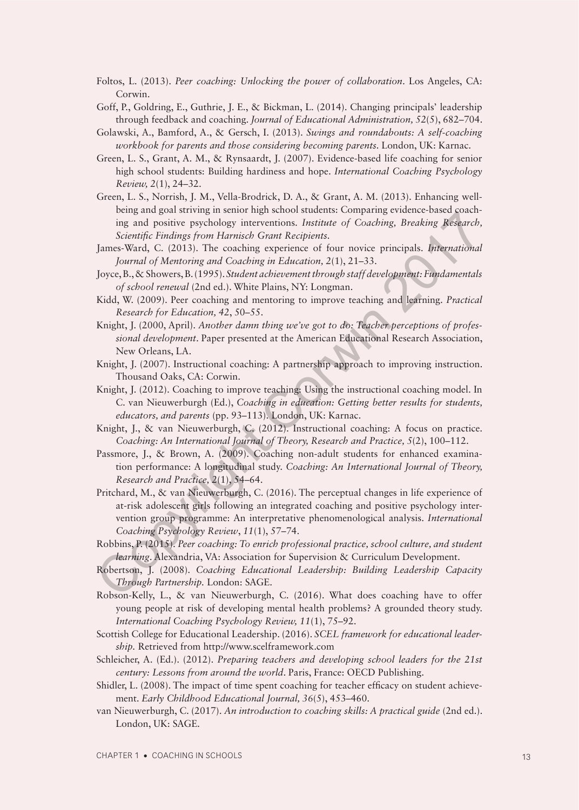- Foltos, L. (2013). *Peer coaching: Unlocking the power of collaboration*. Los Angeles, CA: Corwin.
- Goff, P., Goldring, E., Guthrie, J. E., & Bickman, L. (2014). Changing principals' leadership through feedback and coaching. *Journal of Educational Administration, 52*(5), 682–704.
- Golawski, A., Bamford, A., & Gersch, I. (2013). *Swings and roundabouts: A self-coaching workbook for parents and those considering becoming parents.* London, UK: Karnac.
- Green, L. S., Grant, A. M., & Rynsaardt, J. (2007). Evidence-based life coaching for senior high school students: Building hardiness and hope. *International Coaching Psychology Review, 2*(1), 24–32.
- Green, L. S., Norrish, J. M., Vella-Brodrick, D. A., & Grant, A. M. (2013). Enhancing wellbeing and goal striving in senior high school students: Comparing evidence-based coaching and positive psychology interventions. *Institute of Coaching, Breaking Research, Scientific Findings from Harnisch Grant Recipients.*
- James-Ward, C. (2013). The coaching experience of four novice principals. *International Journal of Mentoring and Coaching in Education, 2*(1), 21–33.
- Joyce, B., & Showers, B. (1995). *Student achievement through staff development: Fundamentals of school renewal* (2nd ed.). White Plains, NY: Longman.
- Kidd, W. (2009). Peer coaching and mentoring to improve teaching and learning. *Practical Research for Education, 42*, 50–55.
- Knight, J. (2000, April). *Another damn thing we've got to do: Teacher perceptions of professional development*. Paper presented at the American Educational Research Association, New Orleans, LA.
- Knight, J. (2007). Instructional coaching: A partnership approach to improving instruction. Thousand Oaks, CA: Corwin.
- Knight, J. (2012). Coaching to improve teaching: Using the instructional coaching model. In C. van Nieuwerburgh (Ed.), *Coaching in education: Getting better results for students, educators, and parents* (pp. 93–113). London, UK: Karnac.
- Knight, J., & van Nieuwerburgh, C. (2012). Instructional coaching: A focus on practice. *Coaching: An International Journal of Theory, Research and Practice, 5*(2), 100–112.
- Passmore, J., & Brown, A. (2009). Coaching non-adult students for enhanced examination performance: A longitudinal study. *Coaching: An International Journal of Theory, Research and Practice, 2*(1), 54–64.
- Pritchard, M., & van Nieuwerburgh, C. (2016). The perceptual changes in life experience of at-risk adolescent girls following an integrated coaching and positive psychology intervention group programme: An interpretative phenomenological analysis. *International Coaching Psychology Review*, *11*(1), 57–74. ing and positive pychology interventions. Institute of Coaching, Breaking Research,<br>
ing and positive pychology interventions. Institute of Coaching, Breaking Research,<br>
Scientific Findings from Harvisto Grant Recipients.
- Robbins, P. (2015). *Peer coaching: To enrich professional practice, school culture, and student learning*. Alexandria, VA: Association for Supervision & Curriculum Development.
- Robertson, J. (2008). *Coaching Educational Leadership: Building Leadership Capacity Through Partnership.* London: SAGE.
- Robson-Kelly, L., & van Nieuwerburgh, C. (2016). What does coaching have to offer young people at risk of developing mental health problems? A grounded theory study. *International Coaching Psychology Review, 11*(1), 75–92.
- Scottish College for Educational Leadership. (2016). *SCEL framework for educational leadership.* Retrieved from http://www.scelframework.com
- Schleicher, A. (Ed.). (2012). *Preparing teachers and developing school leaders for the 21st century: Lessons from around the world*. Paris, France: OECD Publishing.
- Shidler, L. (2008). The impact of time spent coaching for teacher efficacy on student achievement. *Early Childhood Educational Journal, 36*(5), 453–460.
- van Nieuwerburgh, C. (2017). *An introduction to coaching skills: A practical guide* (2nd ed.). London, UK: SAGE.